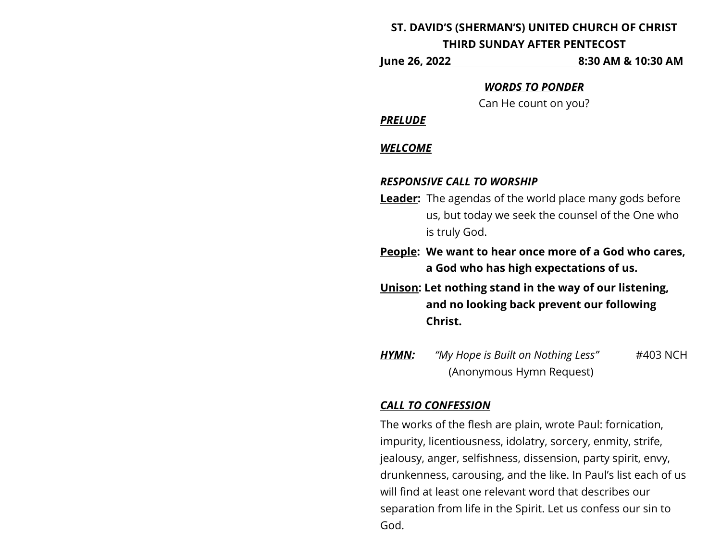### **ST. DAVID'S (SHERMAN'S) UNITED CHURCH OF CHRIST**

#### **THIRD SUNDAY AFTER PENTECOST**

**June 26, 2022 8:30 AM & 10:30 AM**

#### *WORDS TO PONDER*

Can He count on you?

#### *PRELUDE*

#### *WELCOME*

#### *RESPONSIVE CALL TO WORSHIP*

**Leader:** The agendas of the world place many gods before us, but today we seek the counsel of the One who is truly God.

**People: We want to hear once more of a God who cares, a God who has high expectations of us.**

- **Unison: Let nothing stand in the way of our listening, and no looking back prevent our following Christ.**
- *HYMN: "My Hope is Built on Nothing Less"* #403 NCH (Anonymous Hymn Request)

## *CALL TO CONFESSION*

The works of the flesh are plain, wrote Paul: fornication, impurity, licentiousness, idolatry, sorcery, enmity, strife, jealousy, anger, selfishness, dissension, party spirit, envy, drunkenness, carousing, and the like. In Paul's list each of us will find at least one relevant word that describes our separation from life in the Spirit. Let us confess our sin to God.